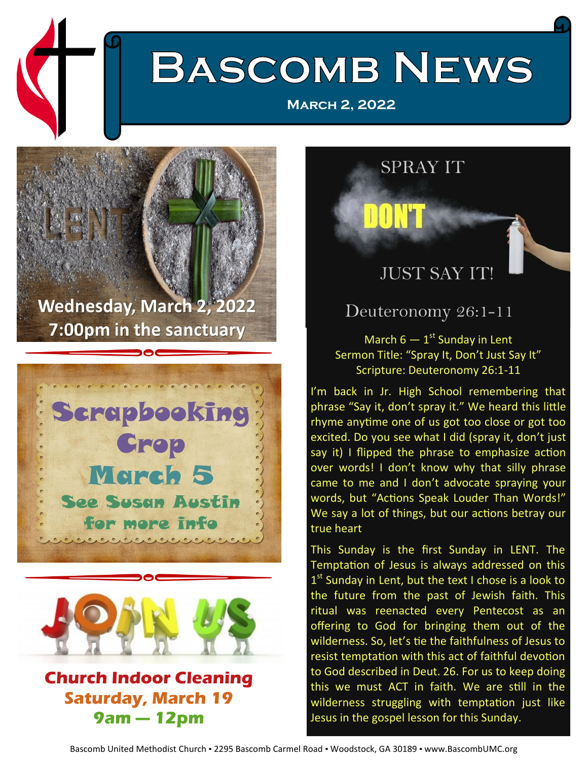# **BASCOMB NEWS**

**[March 2, 2022](http://www.bascombumc.org/)**







#### **Church Indoor Cleaning Saturday, March 19 9am — 12pm**

**SPRAY IT DON'T JUST SAY IT!** 

#### Deuteronomy 26:1-11

March  $6-1$ <sup>st</sup> Sunday in Lent Sermon Title: "Spray It, Don't Just Say It" Scripture: Deuteronomy 26:1-11

I'm back in Jr. High School remembering that phrase "Say it, don't spray it." We heard this little rhyme anytime one of us got too close or got too excited. Do you see what I did (spray it, don't just say it) I flipped the phrase to emphasize action over words! I don't know why that silly phrase came to me and I don't advocate spraying your words, but "Actions Speak Louder Than Words!" We say a lot of things, but our actions betray our true heart

This Sunday is the first Sunday in LENT. The Temptation of Jesus is always addressed on this 1<sup>st</sup> Sunday in Lent, but the text I chose is a look to the future from the past of Jewish faith. This ritual was reenacted every Pentecost as an offering to God for bringing them out of the wilderness. So, let's tie the faithfulness of Jesus to resist temptation with this act of faithful devotion to God described in Deut. 26. For us to keep doing this we must ACT in faith. We are still in the wilderness struggling with temptation just like Jesus in the gospel lesson for this Sunday.